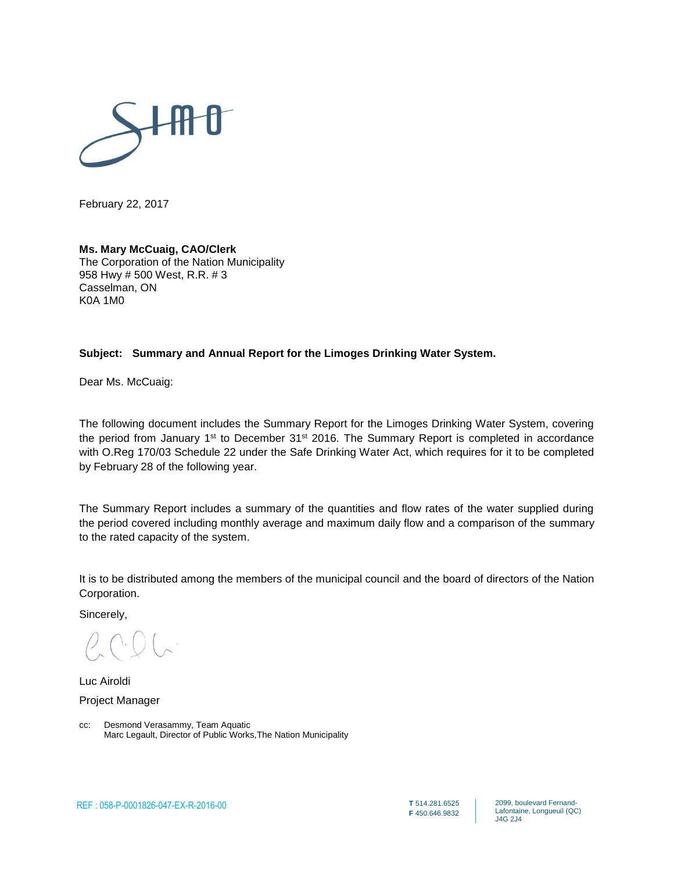

February 22, 2017

#### **Ms. Mary McCuaig, CAO/Clerk**

The Corporation of the Nation Municipality 958 Hwy # 500 West, R.R. # 3 Casselman, ON K0A 1M0

#### **Subject: Summary and Annual Report for the Limoges Drinking Water System.**

Dear Ms. McCuaig:

The following document includes the Summary Report for the Limoges Drinking Water System, covering the period from January 1<sup>st</sup> to December 31<sup>st</sup> 2016. The Summary Report is completed in accordance with O.Reg 170/03 Schedule 22 under the Safe Drinking Water Act, which requires for it to be completed by February 28 of the following year.

The Summary Report includes a summary of the quantities and flow rates of the water supplied during the period covered including monthly average and maximum daily flow and a comparison of the summary to the rated capacity of the system.

It is to be distributed among the members of the municipal council and the board of directors of the Nation Corporation.

Sincerely,

Luc Airoldi Project Manager

cc: Desmond Verasammy, Team Aquatic Marc Legault, Director of Public Works,The Nation Municipality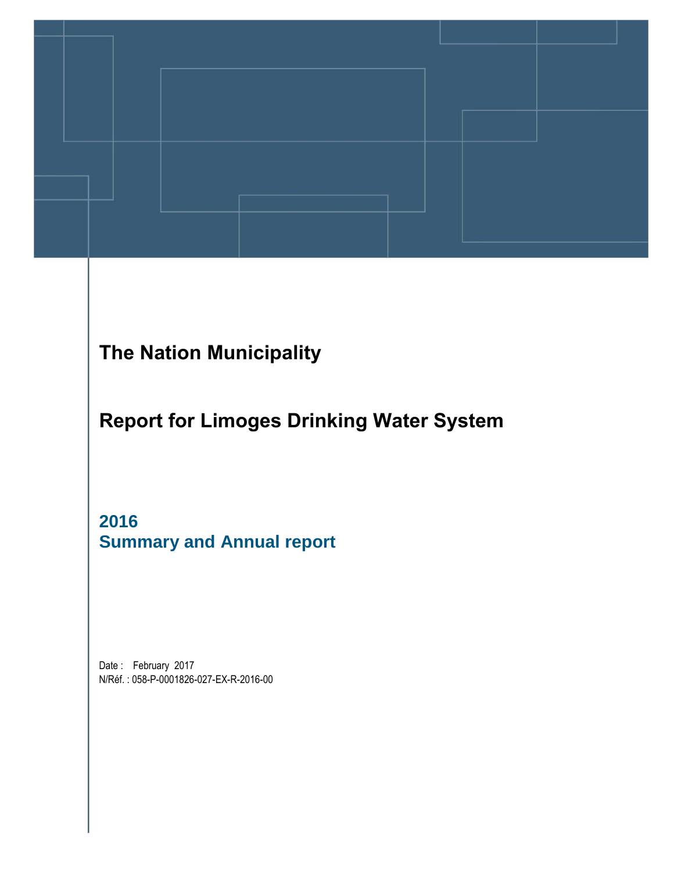

## **The Nation Municipality**

**Report for Limoges Drinking Water System**

**2016 Summary and Annual report** 

Date: February 2017 N/Réf. : 058-P-0001826-027-EX-R-2016-00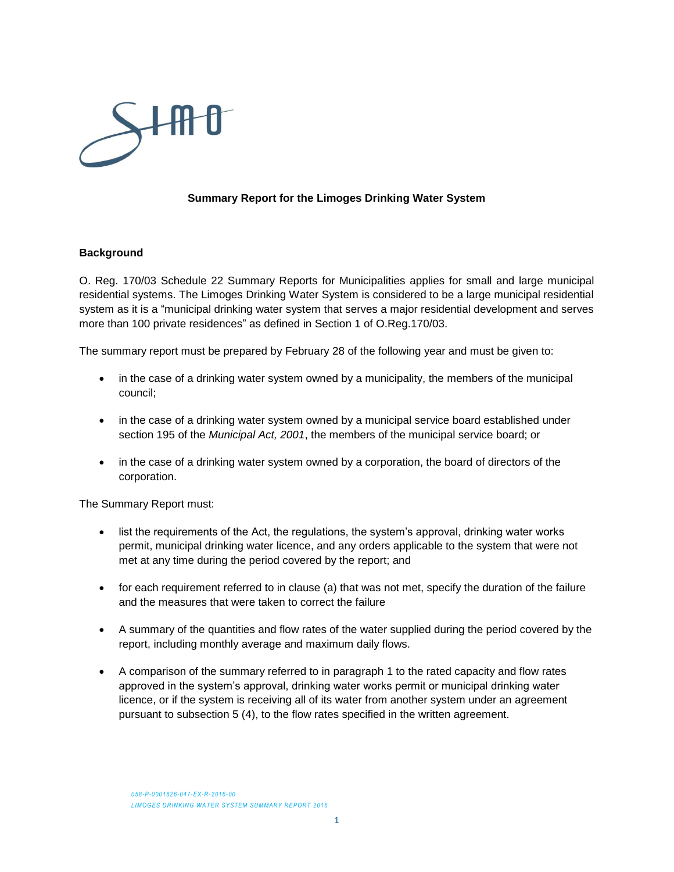

#### **Summary Report for the Limoges Drinking Water System**

#### **Background**

O. Reg. 170/03 Schedule 22 Summary Reports for Municipalities applies for small and large municipal residential systems. The Limoges Drinking Water System is considered to be a large municipal residential system as it is a "municipal drinking water system that serves a major residential development and serves more than 100 private residences" as defined in Section 1 of O.Reg.170/03.

The summary report must be prepared by February 28 of the following year and must be given to:

- in the case of a drinking water system owned by a municipality, the members of the municipal council;
- in the case of a drinking water system owned by a municipal service board established under section 195 of the *Municipal Act, 2001*, the members of the municipal service board; or
- in the case of a drinking water system owned by a corporation, the board of directors of the corporation.

The Summary Report must:

- list the requirements of the Act, the regulations, the system's approval, drinking water works permit, municipal drinking water licence, and any orders applicable to the system that were not met at any time during the period covered by the report; and
- for each requirement referred to in clause (a) that was not met, specify the duration of the failure and the measures that were taken to correct the failure
- A summary of the quantities and flow rates of the water supplied during the period covered by the report, including monthly average and maximum daily flows.
- A comparison of the summary referred to in paragraph 1 to the rated capacity and flow rates approved in the system's approval, drinking water works permit or municipal drinking water licence, or if the system is receiving all of its water from another system under an agreement pursuant to subsection 5 (4), to the flow rates specified in the written agreement.

*058-P-0001826-047-EX-R-2016-00* **LIMOGES DRINKING WATER SYSTEM SUMMARY REPORT 2016**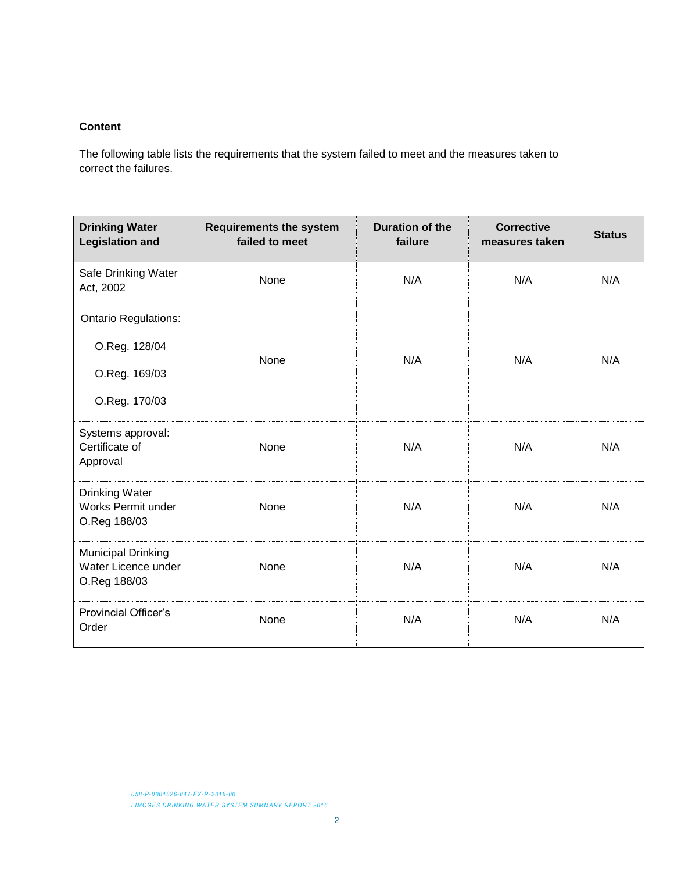#### **Content**

The following table lists the requirements that the system failed to meet and the measures taken to correct the failures.

| <b>Drinking Water</b><br><b>Legislation and</b>                  | <b>Requirements the system</b><br>failed to meet | <b>Duration of the</b><br>failure | <b>Corrective</b><br>measures taken | <b>Status</b> |  |
|------------------------------------------------------------------|--------------------------------------------------|-----------------------------------|-------------------------------------|---------------|--|
| Safe Drinking Water<br>Act, 2002                                 | None                                             | N/A                               | N/A                                 | N/A           |  |
| <b>Ontario Regulations:</b>                                      |                                                  |                                   |                                     |               |  |
| O.Reg. 128/04                                                    |                                                  | N/A                               |                                     |               |  |
| O.Reg. 169/03                                                    | None                                             |                                   | N/A                                 | N/A           |  |
| O.Reg. 170/03                                                    |                                                  |                                   |                                     |               |  |
| Systems approval:<br>Certificate of<br>Approval                  | None                                             | N/A                               | N/A                                 | N/A           |  |
| <b>Drinking Water</b><br>Works Permit under<br>O.Reg 188/03      | None                                             | N/A                               | N/A                                 | N/A           |  |
| <b>Municipal Drinking</b><br>Water Licence under<br>O.Reg 188/03 | None                                             | N/A                               | N/A                                 | N/A           |  |
| <b>Provincial Officer's</b><br>Order                             | None                                             | N/A                               | N/A                                 | N/A           |  |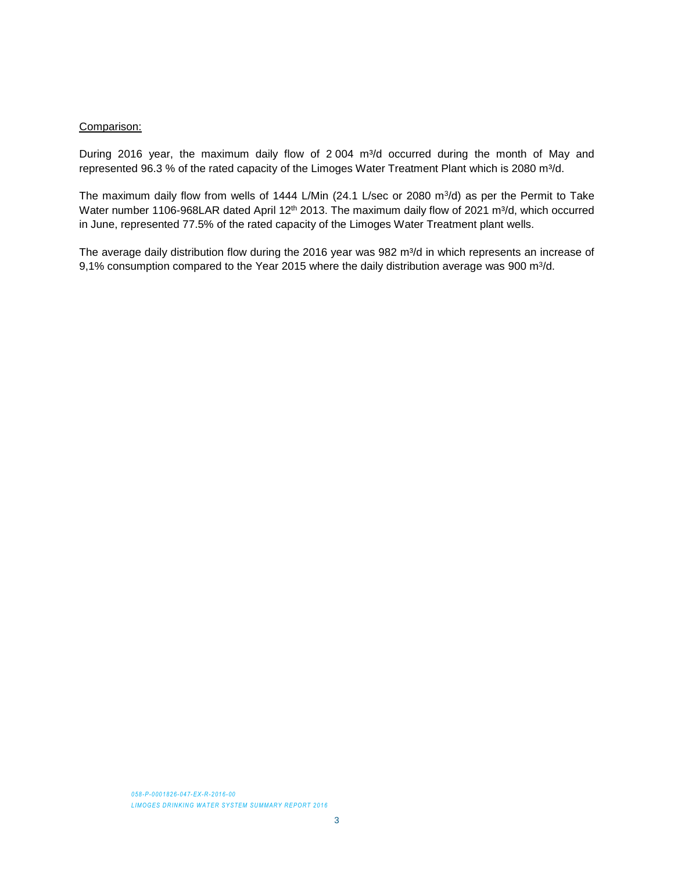#### Comparison:

During 2016 year, the maximum daily flow of 2 004 m<sup>3</sup>/d occurred during the month of May and represented 96.3 % of the rated capacity of the Limoges Water Treatment Plant which is 2080 m<sup>3</sup>/d.

The maximum daily flow from wells of 1444 L/Min (24.1 L/sec or 2080 m $3/$ d) as per the Permit to Take Water number 1106-968LAR dated April 12<sup>th</sup> 2013. The maximum daily flow of 2021 m<sup>3</sup>/d, which occurred in June, represented 77.5% of the rated capacity of the Limoges Water Treatment plant wells.

The average daily distribution flow during the 2016 year was 982 m<sup>3</sup>/d in which represents an increase of 9,1% consumption compared to the Year 2015 where the daily distribution average was 900 m<sup>3</sup>/d.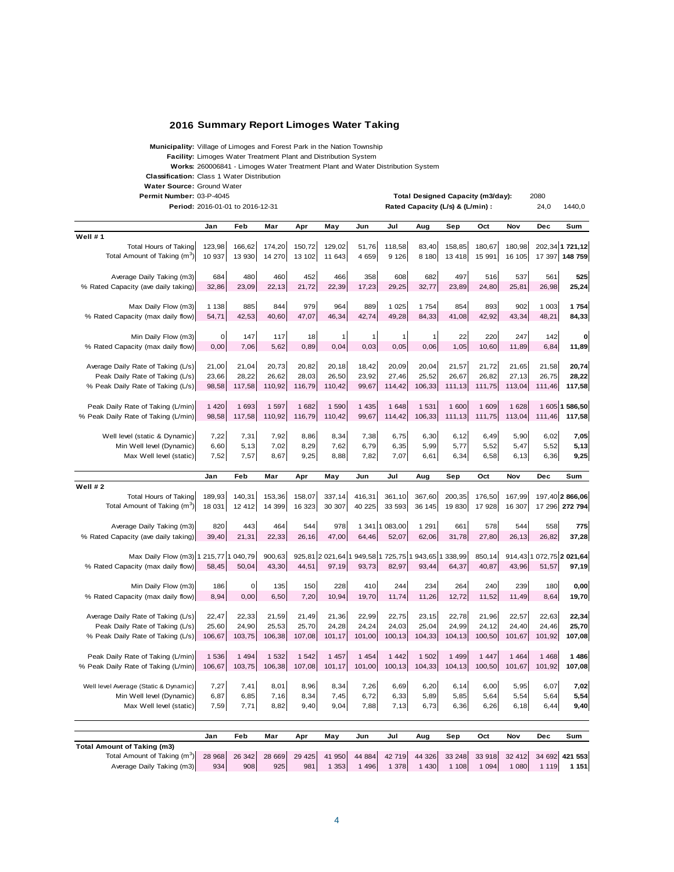#### **2016 Summary Report Limoges Water Taking**

**Municipality:** Village of Limoges and Forest Park in the Nation Township

**Facility:** Limoges Water Treatment Plant and Distribution System

**Works:** 260006841 - Limoges Water Treatment Plant and Water Distribution System

**Total Designed Capacity (m3/day):**

**Classification:** Class 1 Water Distribution

**Water Source:** Ground Water

**Permit Number:** 2080 Permit Number: 03-P-4045

|                                                                      | Period: 2016-01-01 to 2016-12-31 |             |         |         |         |         |                |                                                     | Rated Capacity (L/s) & (L/min) : |               |         | 24,0    | 1440,0                   |
|----------------------------------------------------------------------|----------------------------------|-------------|---------|---------|---------|---------|----------------|-----------------------------------------------------|----------------------------------|---------------|---------|---------|--------------------------|
|                                                                      | Jan                              | Feb         | Mar     | Apr     | May     | Jun     | Jul            | Aug                                                 | Sep                              | Oct           | Nov     | Dec     | Sum                      |
| Well #1                                                              |                                  |             |         |         |         |         |                |                                                     |                                  |               |         |         |                          |
| <b>Total Hours of Taking</b>                                         | 123,98                           | 166,62      | 174,20  | 150,72  | 129,02  | 51,76   | 118,58         | 83,40                                               | 158,85                           | 180,67        | 180,98  |         | 202,34 1 721,12          |
| Total Amount of Taking (m <sup>3</sup> )                             | 10 937                           | 13 930      | 14 270  | 13 102  | 11 643  | 4 6 5 9 | 9 1 2 6        | 8 1 8 0                                             | 13 4 18                          | 15 991        | 16 105  |         | 17 397 148 759           |
| Average Daily Taking (m3)                                            | 684                              | 480         | 460     | 452     | 466     | 358     | 608            | 682                                                 | 497                              | 516           | 537     | 561     | 525                      |
| % Rated Capacity (ave daily taking)                                  | 32,86                            | 23,09       | 22,13   | 21,72   | 22,39   | 17,23   | 29,25          | 32,77                                               | 23,89                            | 24,80         | 25,81   | 26,98   | 25,24                    |
| Max Daily Flow (m3)                                                  | 1 1 3 8                          | 885         | 844     | 979     | 964     | 889     | 1 0 2 5        | 1754                                                | 854                              | 893           | 902     | 1 003   | 1754                     |
| % Rated Capacity (max daily flow)                                    | 54,71                            | 42,53       | 40,60   | 47,07   | 46,34   | 42,74   | 49,28          | 84,33                                               | 41,08                            | 42,92         | 43,34   | 48,21   | 84,33                    |
| Min Daily Flow (m3)                                                  | $\mathbf 0$                      | 147         | 117     | 18      |         | 1       |                |                                                     | 22                               | 220           | 247     | 142     | $\bf o$                  |
| % Rated Capacity (max daily flow)                                    | 0,00                             | 7,06        | 5,62    | 0,89    | 0,04    | 0,03    | 0,05           | 0,06                                                | 1,05                             | 10,60         | 11,89   | 6,84    | 11,89                    |
| Average Daily Rate of Taking (L/s)                                   | 21,00                            | 21,04       | 20,73   | 20,82   | 20,18   | 18,42   | 20,09          | 20,04                                               | 21,57                            | 21,72         | 21,65   | 21,58   | 20,74                    |
| Peak Daily Rate of Taking (L/s)                                      | 23,66                            | 28,22       | 26,62   | 28,03   | 26,50   | 23,92   | 27,46          | 25,52                                               | 26,67                            | 26,82         | 27,13   | 26,75   | 28,22                    |
| % Peak Daily Rate of Taking (L/s)                                    | 98,58                            | 117,58      | 110,92  | 116,79  | 110,42  | 99,67   | 114,42         | 106,33                                              | 111,13                           | 111,75        | 113,04  | 111,46  | 117,58                   |
| Peak Daily Rate of Taking (L/min)                                    | 1 4 2 0                          | 1 693       | 1 5 9 7 | 1 682   | 1 5 9 0 | 1 4 3 5 | 1 648          | 1 5 3 1                                             | 1 600                            | 1 609         | 1 6 28  |         | 1 605 1 586,50           |
| % Peak Daily Rate of Taking (L/min)                                  | 98,58                            | 117,58      | 110,92  | 116,79  | 110,42  | 99,67   | 114,42         | 106,33                                              | 111,13                           | 111,75        | 113,04  | 111,46  | 117,58                   |
| Well level (static & Dynamic)                                        | 7,22                             | 7,31        | 7,92    | 8,86    | 8,34    | 7,38    | 6,75           | 6,30                                                | 6,12                             | 6,49          | 5,90    | 6,02    | 7,05                     |
| Min Well level (Dynamic)                                             | 6,60                             | 5,13        | 7,02    | 8,29    | 7,62    | 6,79    | 6,35           | 5,99                                                | 5,77                             | 5,52          | 5,47    | 5,52    | 5,13                     |
| Max Well level (static)                                              | 7,52                             | 7,57        | 8,67    | 9,25    | 8,88    | 7,82    | 7,07           | 6,61                                                | 6,34                             | 6,58          | 6,13    | 6,36    | 9,25                     |
|                                                                      | Jan                              | Feb         | Mar     | Apr     | May     | Jun     | Jul            | Aug                                                 | Sep                              | Oct           | Nov     | Dec     | Sum                      |
| Well #2                                                              |                                  |             |         |         |         |         |                |                                                     |                                  |               |         |         |                          |
| <b>Total Hours of Taking</b>                                         | 189,93                           | 140,31      | 153,36  | 158,07  | 337,14  | 416,31  | 361,10         | 367,60                                              | 200,35                           | 176,50        | 167,99  |         | 197,40 2 866,06          |
| Total Amount of Taking (m <sup>3</sup> )                             | 18 031                           | 12 4 12     | 14 399  | 16 323  | 30 307  | 40 225  | 33 593         | 36 145                                              | 19 830                           | 17 928        | 16 307  |         | 17 296 272 794           |
| Average Daily Taking (m3)                                            | 820                              | 443         | 464     | 544     | 978     |         | 1 341 1 083,00 | 1 2 9 1                                             | 661                              | 578           | 544     | 558     | 775                      |
| % Rated Capacity (ave daily taking)                                  | 39,40                            | 21,31       | 22,33   | 26,16   | 47,00   | 64,46   | 52,07          | 62,06                                               | 31,78                            | 27,80         | 26,13   | 26,82   | 37,28                    |
| Max Daily Flow (m3) 1 215,77 1 040,79                                |                                  |             | 900,63  |         |         |         |                | 925,81 2 021,64 1 949,58 1 725,75 1 943,65 1 338,99 |                                  | 850,14        |         |         | 914,43 1 072,75 2 021,64 |
| % Rated Capacity (max daily flow)                                    | 58,45                            | 50,04       | 43,30   | 44,51   | 97,19   | 93,73   | 82,97          | 93,44                                               | 64,37                            | 40,87         | 43,96   | 51,57   | 97,19                    |
| Min Daily Flow (m3)                                                  | 186                              | $\mathbf 0$ | 135     | 150     | 228     | 410     | 244            | 234                                                 | 264                              | 240           | 239     | 180     | 0,00                     |
| % Rated Capacity (max daily flow)                                    | 8,94                             | 0,00        | 6,50    | 7,20    | 10,94   | 19,70   | 11,74          | 11,26                                               | 12,72                            | 11,52         | 11,49   | 8,64    | 19,70                    |
|                                                                      |                                  |             |         |         |         |         |                |                                                     |                                  |               |         |         |                          |
| Average Daily Rate of Taking (L/s)                                   | 22,47                            | 22,33       | 21,59   | 21,49   | 21,36   | 22,99   | 22,75          | 23,15                                               | 22,78                            | 21,96         | 22,57   | 22,63   | 22,34                    |
| Peak Daily Rate of Taking (L/s)                                      | 25,60                            | 24,90       | 25,53   | 25,70   | 24,28   | 24,24   | 24,03          | 25,04                                               | 24,99                            | 24,12         | 24,40   | 24,46   | 25,70                    |
| % Peak Daily Rate of Taking (L/s)                                    | 106,67                           | 103,75      | 106,38  | 107,08  | 101,17  | 101,00  | 100,13         | 104,33                                              | 104,13                           | 100,50        | 101,67  | 101,92  | 107,08                   |
| Peak Daily Rate of Taking (L/min)                                    | 1 536                            | 1 4 9 4     | 1 5 3 2 | 1 5 4 2 | 1 4 5 7 | 1 4 5 4 | 1 4 4 2        | 1 502                                               | 1 4 9 9                          | 1 4 4 7       | 1 4 6 4 | 1 4 6 8 | 1 486                    |
| % Peak Daily Rate of Taking (L/min)                                  | 106,67                           | 103,75      | 106,38  | 107,08  | 101,17  | 101,00  | 100,13         | 104,33                                              | 104,13                           | 100,50        | 101,67  | 101,92  | 107,08                   |
| Well level Average (Static & Dynamic)                                | 7,27                             | 7,41        | 8,01    | 8,96    | 8,34    | 7,26    | 6,69           | 6,20                                                | 6,14                             | 6,00          | 5,95    | 6,07    | 7,02                     |
| Min Well level (Dynamic)                                             | 6,87                             | 6,85        | 7,16    | 8,34    | 7,45    | 6,72    | 6,33           | 5,89                                                | 5,85                             | 5,64          | 5,54    | 5,64    | 5,54                     |
| Max Well level (static)                                              | 7,59                             | 7,71        | 8,82    | 9,40    | 9,04    | 7,88    | 7,13           | 6,73                                                | 6,36                             | 6,26          | 6,18    | 6,44    | 9,40                     |
|                                                                      |                                  |             |         |         |         |         |                |                                                     |                                  |               |         |         |                          |
|                                                                      | Jan                              | Feb         | Mar     | Apr     | May     | Jun     | Jul            | Aug                                                 | Sep                              | Oct           | Nov     | Dec     | Sum                      |
| <b>Total Amount of Taking (m3)</b><br>Total Amount of Taking $(m^3)$ | 28 968                           | 26 342      | 28 669  |         |         |         |                | 29 425 41 950 44 884 42 719 44 326                  |                                  | 33 248 33 918 | 32 412  |         | 34 692 421 553           |

Average Daily Taking (m3) 934 908 925 981 1 353 1 496 1 378 1 430 1 108 1 094 1 080 1 119 **1 151**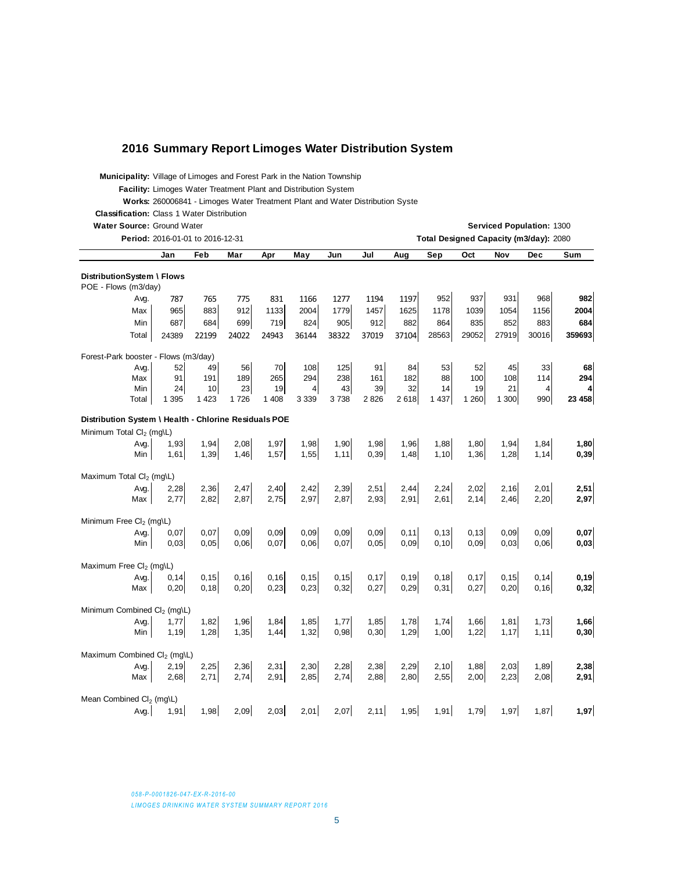#### **2016 Summary Report Limoges Water Distribution System**

**Municipality:** Village of Limoges and Forest Park in the Nation Township

**Facility:** Limoges Water Treatment Plant and Distribution System

Works: 260006841 - Limoges Water Treatment Plant and Water Distribution Syste

**Classification:** Class 1 Water Distribution

**Water Source:** Ground Water **Contract Contract Contract Contract Contract Contract Contract Contract Contract Contract Contract Contract Contract Contract Contract Contract Contract Contract Contract Contract Contract Con** 

|                                                       | Period: 2016-01-01 to 2016-12-31 |         |       |         |                |       |         |        |         |         |       | Total Designed Capacity (m3/day): 2080 |        |
|-------------------------------------------------------|----------------------------------|---------|-------|---------|----------------|-------|---------|--------|---------|---------|-------|----------------------------------------|--------|
|                                                       | Jan                              | Feb     | Mar   | Apr     | May            | Jun   | Jul     | Aug    | Sep     | Oct     | Nov   | Dec                                    | Sum    |
| DistributionSystem \ Flows                            |                                  |         |       |         |                |       |         |        |         |         |       |                                        |        |
| POE - Flows (m3/day)                                  |                                  |         |       |         |                |       |         |        |         |         |       |                                        |        |
| Avg.                                                  | 787                              | 765     | 775   | 831     | 1166           | 1277  | 1194    | 1197   | 952     | 937     | 931   | 968                                    | 982    |
| Max                                                   | 965                              | 883     | 912   | 1133    | 2004           | 1779  | 1457    | 1625   | 1178    | 1039    | 1054  | 1156                                   | 2004   |
| Min                                                   | 687                              | 684     | 699   | 719     | 824            | 905   | 912     | 882    | 864     | 835     | 852   | 883                                    | 684    |
| Total                                                 | 24389                            | 22199   | 24022 | 24943   | 36144          | 38322 | 37019   | 37104  | 28563   | 29052   | 27919 | 30016                                  | 359693 |
| Forest-Park booster - Flows (m3/day)                  |                                  |         |       |         |                |       |         |        |         |         |       |                                        |        |
| Avg.                                                  | 52                               | 49      | 56    | 70      | 108            | 125   | 91      | 84     | 53      | 52      | 45    | 33                                     | 68     |
| Max                                                   | 91                               | 191     | 189   | 265     | 294            | 238   | 161     | 182    | 88      | 100     | 108   | 114                                    | 294    |
| Min                                                   | 24                               | 10      | 23    | 19      | $\overline{4}$ | 43    | 39      | 32     | 14      | 19      | 21    | $\overline{4}$                         | 4      |
| Total                                                 | 1 3 9 5                          | 1 4 2 3 | 1726  | 1 4 0 8 | 3 3 3 9        | 3738  | 2 8 2 6 | 2 6 18 | 1 4 3 7 | 1 2 6 0 | 1 300 | 990                                    | 23 458 |
| Distribution System \ Health - Chlorine Residuals POE |                                  |         |       |         |                |       |         |        |         |         |       |                                        |        |
| Minimum Total Cl <sub>2</sub> (mg\L)                  |                                  |         |       |         |                |       |         |        |         |         |       |                                        |        |
| Avg.                                                  | 1,93                             | 1,94    | 2,08  | 1,97    | 1,98           | 1,90  | 1,98    | 1,96   | 1,88    | 1,80    | 1,94  | 1,84                                   | 1,80   |
| Min                                                   | 1,61                             | 1,39    | 1,46  | 1,57    | 1,55           | 1,11  | 0,39    | 1,48   | 1,10    | 1,36    | 1,28  | 1,14                                   | 0,39   |
| Maximum Total Cl <sub>2</sub> (mg\L)                  |                                  |         |       |         |                |       |         |        |         |         |       |                                        |        |
| Avg.                                                  | 2,28                             | 2,36    | 2,47  | 2,40    | 2,42           | 2,39  | 2,51    | 2,44   | 2,24    | 2,02    | 2,16  | 2,01                                   | 2,51   |
| Max                                                   | 2,77                             | 2,82    | 2,87  | 2,75    | 2,97           | 2,87  | 2,93    | 2,91   | 2,61    | 2,14    | 2,46  | 2,20                                   | 2,97   |
|                                                       |                                  |         |       |         |                |       |         |        |         |         |       |                                        |        |
| Minimum Free Cl <sub>2</sub> (mg\L)                   |                                  |         |       |         |                |       |         |        |         |         |       |                                        |        |
| Avg.                                                  | 0,07                             | 0,07    | 0.09  | 0,09    | 0,09           | 0,09  | 0,09    | 0, 11  | 0, 13   | 0,13    | 0,09  | 0,09                                   | 0,07   |
| Min                                                   | 0,03                             | 0,05    | 0,06  | 0,07    | 0,06           | 0,07  | 0,05    | 0,09   | 0, 10   | 0,09    | 0,03  | 0,06                                   | 0,03   |
| Maximum Free Cl <sub>2</sub> (mg\L)                   |                                  |         |       |         |                |       |         |        |         |         |       |                                        |        |
| Avg.                                                  | 0,14                             | 0, 15   | 0, 16 | 0, 16   | 0, 15          | 0, 15 | 0,17    | 0, 19  | 0, 18   | 0,17    | 0, 15 | 0, 14                                  | 0,19   |
| Max                                                   | 0,20                             | 0, 18   | 0,20  | 0,23    | 0,23           | 0,32  | 0,27    | 0,29   | 0,31    | 0,27    | 0,20  | 0, 16                                  | 0,32   |
| Minimum Combined Cl <sub>2</sub> (mg\L)               |                                  |         |       |         |                |       |         |        |         |         |       |                                        |        |
| Avg.                                                  | 1,77                             | 1,82    | 1,96  | 1,84    | 1,85           | 1,77  | 1,85    | 1,78   | 1,74    | 1,66    | 1,81  | 1,73                                   | 1,66   |
| Min                                                   | 1,19                             | 1,28    | 1,35  | 1,44    | 1,32           | 0,98  | 0,30    | 1,29   | 1,00    | 1,22    | 1,17  | 1, 11                                  | 0,30   |
|                                                       |                                  |         |       |         |                |       |         |        |         |         |       |                                        |        |
| Maximum Combined Cl <sub>2</sub> (mg\L)               |                                  |         |       |         |                |       |         |        |         |         |       |                                        |        |
| Avg.                                                  | 2,19                             | 2,25    | 2,36  | 2,31    | 2,30           | 2,28  | 2,38    | 2,29   | 2,10    | 1,88    | 2,03  | 1,89                                   | 2,38   |
| Max                                                   | 2,68                             | 2.71    | 2,74  | 2,91    | 2,85           | 2,74  | 2,88    | 2,80   | 2,55    | 2,00    | 2,23  | 2,08                                   | 2,91   |
| Mean Combined Cl <sub>2</sub> (mg\L)                  |                                  |         |       |         |                |       |         |        |         |         |       |                                        |        |
| Avg.                                                  | 1,91                             | 1,98    | 2,09  | 2,03    | 2,01           | 2,07  | 2,11    | 1,95   | 1,91    | 1,79    | 1,97  | 1,87                                   | 1,97   |

*058-P-0001826-047-EX-R-2016-00*

**LIMOGES DRINKING WATER SYSTEM SUMMARY REPORT 2016**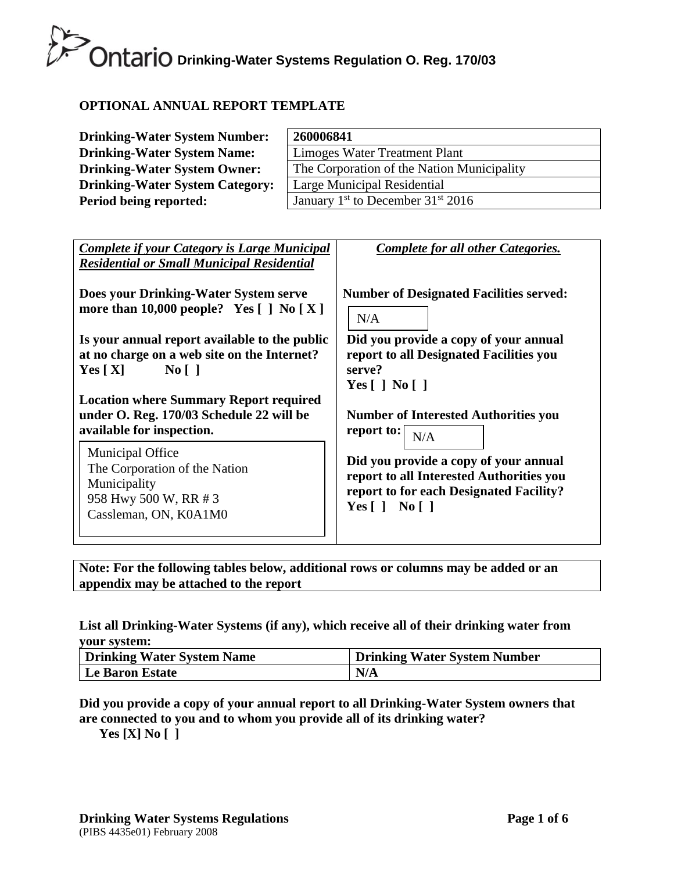## **OPTIONAL ANNUAL REPORT TEMPLATE**

| <b>Drinking-Water System Number:</b>   | 260006841                                       |
|----------------------------------------|-------------------------------------------------|
| <b>Drinking-Water System Name:</b>     | Limoges Water Treatment Plant                   |
| <b>Drinking-Water System Owner:</b>    | The Corporation of the Nation Municipality      |
| <b>Drinking-Water System Category:</b> | Large Municipal Residential                     |
| Period being reported:                 | January $1st$ to December 31 <sup>st</sup> 2016 |

| <b>Complete if your Category is Large Municipal</b><br><b>Residential or Small Municipal Residential</b>                                                                                                                       | Complete for all other Categories.                                                                                                                                        |
|--------------------------------------------------------------------------------------------------------------------------------------------------------------------------------------------------------------------------------|---------------------------------------------------------------------------------------------------------------------------------------------------------------------------|
| Does your Drinking-Water System serve                                                                                                                                                                                          | <b>Number of Designated Facilities served:</b>                                                                                                                            |
| more than 10,000 people? Yes $\lceil \cdot \rceil$ No $\lceil X \rceil$                                                                                                                                                        | N/A                                                                                                                                                                       |
| Is your annual report available to the public<br>at no charge on a web site on the Internet?<br>$\overline{N_0}$    <br>Yes $[X]$<br><b>Location where Summary Report required</b><br>under O. Reg. 170/03 Schedule 22 will be | Did you provide a copy of your annual<br>report to all Designated Facilities you<br>serve?<br>Yes $\lceil$   No $\lceil$  <br><b>Number of Interested Authorities you</b> |
| available for inspection.                                                                                                                                                                                                      | report to: $\vert$                                                                                                                                                        |
| <b>Municipal Office</b>                                                                                                                                                                                                        | N/A                                                                                                                                                                       |
| The Corporation of the Nation                                                                                                                                                                                                  | Did you provide a copy of your annual                                                                                                                                     |
| Municipality                                                                                                                                                                                                                   | report to all Interested Authorities you                                                                                                                                  |
| 958 Hwy 500 W, RR # 3                                                                                                                                                                                                          | report to for each Designated Facility?                                                                                                                                   |
| Cassleman, ON, K0A1M0                                                                                                                                                                                                          | Yes $\lceil$   No $\lceil$                                                                                                                                                |

**Note: For the following tables below, additional rows or columns may be added or an appendix may be attached to the report**

### **List all Drinking-Water Systems (if any), which receive all of their drinking water from your system:**

| <b>Drinking Water System Name</b> | <b>Drinking Water System Number</b> |
|-----------------------------------|-------------------------------------|
| <b>Le Baron Estate</b>            | N/A                                 |

### **Did you provide a copy of your annual report to all Drinking-Water System owners that are connected to you and to whom you provide all of its drinking water?**

**Yes [X] No [ ]**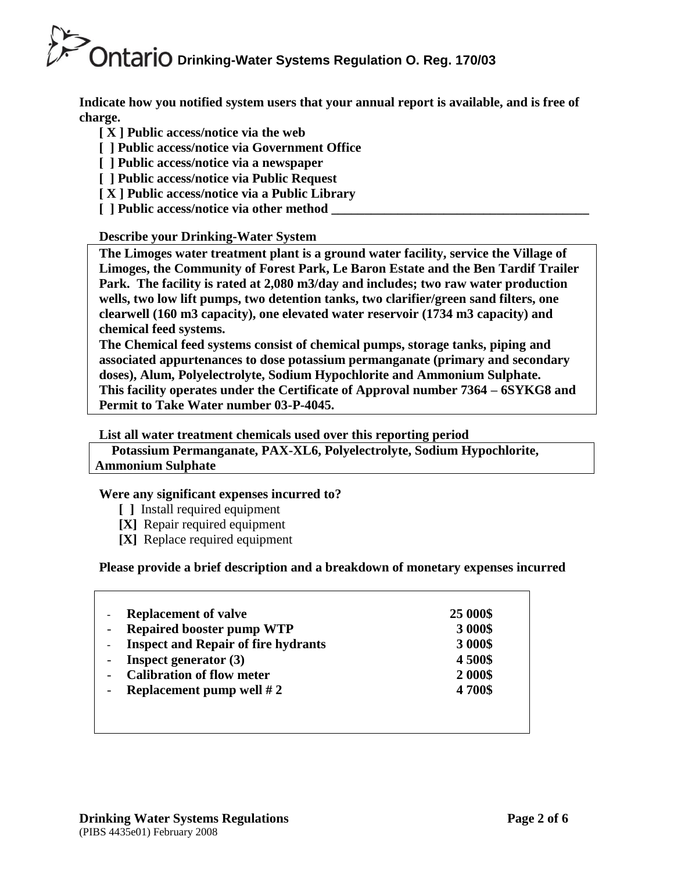**Indicate how you notified system users that your annual report is available, and is free of charge.** 

- **[ X ] Public access/notice via the web**
- **[ ] Public access/notice via Government Office**
- **[ ] Public access/notice via a newspaper**
- **[ ] Public access/notice via Public Request**
- **[ X ] Public access/notice via a Public Library**
- **[** ] Public access/notice via other method

## **Describe your Drinking-Water System**

**The Limoges water treatment plant is a ground water facility, service the Village of Limoges, the Community of Forest Park, Le Baron Estate and the Ben Tardif Trailer Park. The facility is rated at 2,080 m3/day and includes; two raw water production wells, two low lift pumps, two detention tanks, two clarifier/green sand filters, one clearwell (160 m3 capacity), one elevated water reservoir (1734 m3 capacity) and chemical feed systems.**

**The Chemical feed systems consist of chemical pumps, storage tanks, piping and associated appurtenances to dose potassium permanganate (primary and secondary doses), Alum, Polyelectrolyte, Sodium Hypochlorite and Ammonium Sulphate. This facility operates under the Certificate of Approval number 7364 – 6SYKG8 and Permit to Take Water number 03-P-4045.**

**List all water treatment chemicals used over this reporting period**

 **Potassium Permanganate, PAX-XL6, Polyelectrolyte, Sodium Hypochlorite, Ammonium Sulphate**

### **Were any significant expenses incurred to?**

- **[ ]** Install required equipment
- **[X]** Repair required equipment
- **[X]** Replace required equipment

### **Please provide a brief description and a breakdown of monetary expenses incurred**

| <b>Replacement of valve</b>                | 25 000\$ |
|--------------------------------------------|----------|
| <b>Repaired booster pump WTP</b>           | 3 000\$  |
| <b>Inspect and Repair of fire hydrants</b> | 3 000\$  |
| <b>Inspect generator</b> $(3)$             | 4500\$   |
| <b>Calibration of flow meter</b>           | 2 000\$  |
| Replacement pump well $#2$                 | 4700\$   |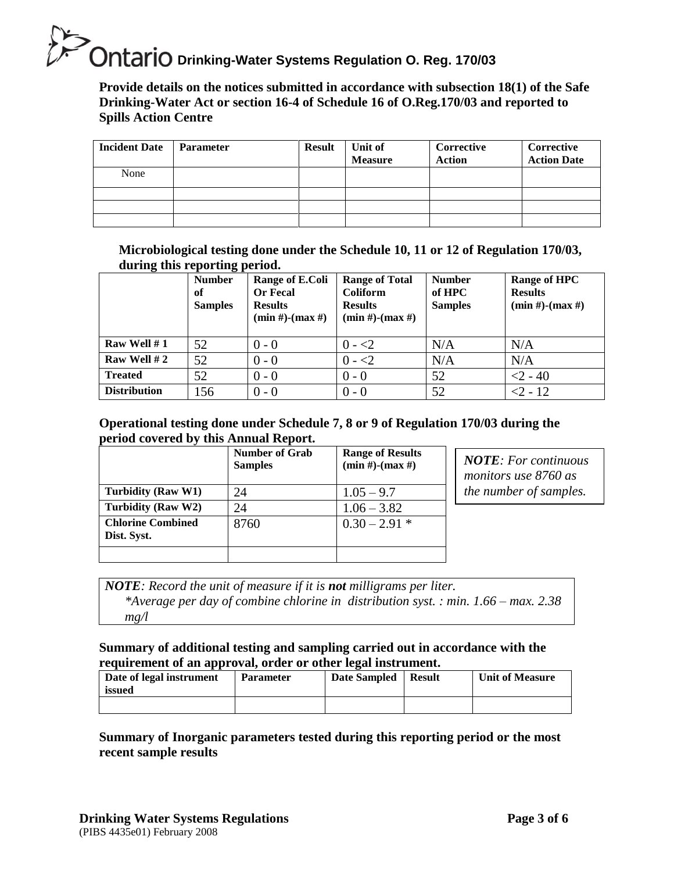**Provide details on the notices submitted in accordance with subsection 18(1) of the Safe Drinking-Water Act or section 16-4 of Schedule 16 of O.Reg.170/03 and reported to Spills Action Centre** 

| <b>Incident Date</b> | <b>Parameter</b> | <b>Result</b> | Unit of<br><b>Measure</b> | Corrective<br><b>Action</b> | Corrective<br><b>Action Date</b> |
|----------------------|------------------|---------------|---------------------------|-----------------------------|----------------------------------|
| None                 |                  |               |                           |                             |                                  |
|                      |                  |               |                           |                             |                                  |
|                      |                  |               |                           |                             |                                  |
|                      |                  |               |                           |                             |                                  |

**Microbiological testing done under the Schedule 10, 11 or 12 of Regulation 170/03, during this reporting period.**

|                     | <b>Number</b><br>of<br><b>Samples</b> | Range of E.Coli<br><b>Or Fecal</b><br><b>Results</b><br>$(min #)$ - $(max #)$ | <b>Range of Total</b><br><b>Coliform</b><br><b>Results</b><br>$(min #)$ - $(max #)$ | <b>Number</b><br>of HPC<br><b>Samples</b> | Range of HPC<br><b>Results</b><br>$(min #)$ - $(max #)$ |
|---------------------|---------------------------------------|-------------------------------------------------------------------------------|-------------------------------------------------------------------------------------|-------------------------------------------|---------------------------------------------------------|
| Raw Well $# 1$      | 52                                    | $0 - 0$                                                                       | $0 - 2$                                                                             | N/A                                       | N/A                                                     |
| Raw Well #2         | 52                                    | $0 - 0$                                                                       | $0 - 2$                                                                             | N/A                                       | N/A                                                     |
| <b>Treated</b>      | 52                                    | $0 - 0$                                                                       | $0 - 0$                                                                             | 52                                        | $<$ 2 - 40                                              |
| <b>Distribution</b> | 156                                   | $0 - 0$                                                                       | $0 - 0$                                                                             | 52                                        | $<$ 2 - 12                                              |

### **Operational testing done under Schedule 7, 8 or 9 of Regulation 170/03 during the period covered by this Annual Report.**

|                                         | <b>Number of Grab</b><br><b>Samples</b> | <b>Range of Results</b><br>$(min #)$ - $(max #)$ |
|-----------------------------------------|-----------------------------------------|--------------------------------------------------|
| Turbidity (Raw W1)                      | 24                                      | $1.05 - 9.7$                                     |
| Turbidity (Raw W2)                      | 24                                      | $1.06 - 3.82$                                    |
| <b>Chlorine Combined</b><br>Dist. Syst. | 8760                                    | $0.30 - 2.91*$                                   |
|                                         |                                         |                                                  |

*NOTE: For continuous monitors use 8760 as the number of samples.*

*NOTE: Record the unit of measure if it is not milligrams per liter.*

*\*Average per day of combine chlorine in distribution syst. : min. 1.66 – max. 2.38 mg/l*

### **Summary of additional testing and sampling carried out in accordance with the requirement of an approval, order or other legal instrument.**

| Date of legal instrument<br>issued | <b>Parameter</b> | Date Sampled | <b>Result</b> | <b>Unit of Measure</b> |
|------------------------------------|------------------|--------------|---------------|------------------------|
|                                    |                  |              |               |                        |

## **Summary of Inorganic parameters tested during this reporting period or the most recent sample results**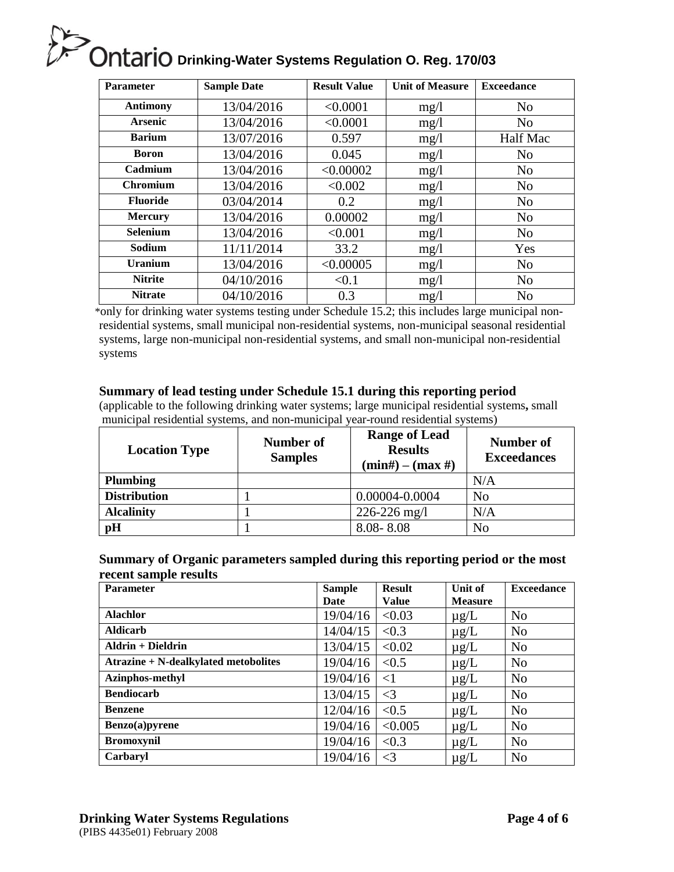| <b>Parameter</b> | <b>Sample Date</b> | <b>Result Value</b> | <b>Unit of Measure</b> | <b>Exceedance</b> |
|------------------|--------------------|---------------------|------------------------|-------------------|
| <b>Antimony</b>  | 13/04/2016         | < 0.0001            | mg/1                   | N <sub>o</sub>    |
| <b>Arsenic</b>   | 13/04/2016         | < 0.0001            | mg/1                   | N <sub>o</sub>    |
| <b>Barium</b>    | 13/07/2016         | 0.597               | mg/1                   | Half Mac          |
| <b>Boron</b>     | 13/04/2016         | 0.045               | mg/1                   | N <sub>o</sub>    |
| Cadmium          | 13/04/2016         | < 0.00002           | mg/1                   | N <sub>o</sub>    |
| <b>Chromium</b>  | 13/04/2016         | < 0.002             | mg/1                   | N <sub>o</sub>    |
| <b>Fluoride</b>  | 03/04/2014         | 0.2                 | mg/1                   | N <sub>o</sub>    |
| <b>Mercury</b>   | 13/04/2016         | 0.00002             | mg/1                   | N <sub>o</sub>    |
| <b>Selenium</b>  | 13/04/2016         | < 0.001             | mg/1                   | N <sub>o</sub>    |
| Sodium           | 11/11/2014         | 33.2                | mg/1                   | Yes               |
| <b>Uranium</b>   | 13/04/2016         | < 0.00005           | mg/1                   | N <sub>o</sub>    |
| <b>Nitrite</b>   | 04/10/2016         | < 0.1               | mg/1                   | N <sub>o</sub>    |
| <b>Nitrate</b>   | 04/10/2016         | 0.3                 | mg/l                   | N <sub>o</sub>    |

\*only for drinking water systems testing under Schedule 15.2; this includes large municipal nonresidential systems, small municipal non-residential systems, non-municipal seasonal residential systems, large non-municipal non-residential systems, and small non-municipal non-residential systems

#### **Summary of lead testing under Schedule 15.1 during this reporting period**

(applicable to the following drinking water systems; large municipal residential systems**,** small municipal residential systems, and non-municipal year-round residential systems)

| <b>Location Type</b> | Number of<br><b>Samples</b> | <b>Range of Lead</b><br><b>Results</b><br>$(min#) - (max#)$ | Number of<br><b>Exceedances</b> |
|----------------------|-----------------------------|-------------------------------------------------------------|---------------------------------|
| <b>Plumbing</b>      |                             |                                                             | N/A                             |
| <b>Distribution</b>  |                             | 0.00004-0.0004                                              | No                              |
| <b>Alcalinity</b>    |                             | $226 - 226$ mg/l                                            | N/A                             |
| pH                   |                             | $8.08 - 8.08$                                               | No                              |

#### **Summary of Organic parameters sampled during this reporting period or the most recent sample results**

| <b>Parameter</b>                     | <b>Sample</b><br>Date | <b>Result</b><br><b>Value</b> | Unit of<br><b>Measure</b> | <b>Exceedance</b> |
|--------------------------------------|-----------------------|-------------------------------|---------------------------|-------------------|
| <b>Alachlor</b>                      | 19/04/16              | < 0.03                        | $\mu$ g/L                 | N <sub>0</sub>    |
| <b>Aldicarb</b>                      | 14/04/15              | < 0.3                         | $\mu$ g/L                 | N <sub>0</sub>    |
| Aldrin + Dieldrin                    | 13/04/15              | < 0.02                        | $\mu$ g/L                 | N <sub>o</sub>    |
| Atrazine + N-dealkylated metobolites | 19/04/16              | < 0.5                         | $\mu$ g/L                 | N <sub>0</sub>    |
| Azinphos-methyl                      | 19/04/16              | $<$ 1                         | $\mu$ g/L                 | N <sub>0</sub>    |
| <b>Bendiocarb</b>                    | 13/04/15              | $\leq$ 3                      | $\mu$ g/L                 | N <sub>0</sub>    |
| <b>Benzene</b>                       | 12/04/16              | < 0.5                         | $\mu$ g/L                 | N <sub>0</sub>    |
| Benzo(a)pyrene                       | 19/04/16              | < 0.005                       | $\mu$ g/L                 | N <sub>o</sub>    |
| <b>Bromoxynil</b>                    | 19/04/16              | < 0.3                         | $\mu$ g/L                 | N <sub>0</sub>    |
| Carbaryl                             | 19/04/16              | $\leq$ 3                      | $\mu$ g/L                 | N <sub>o</sub>    |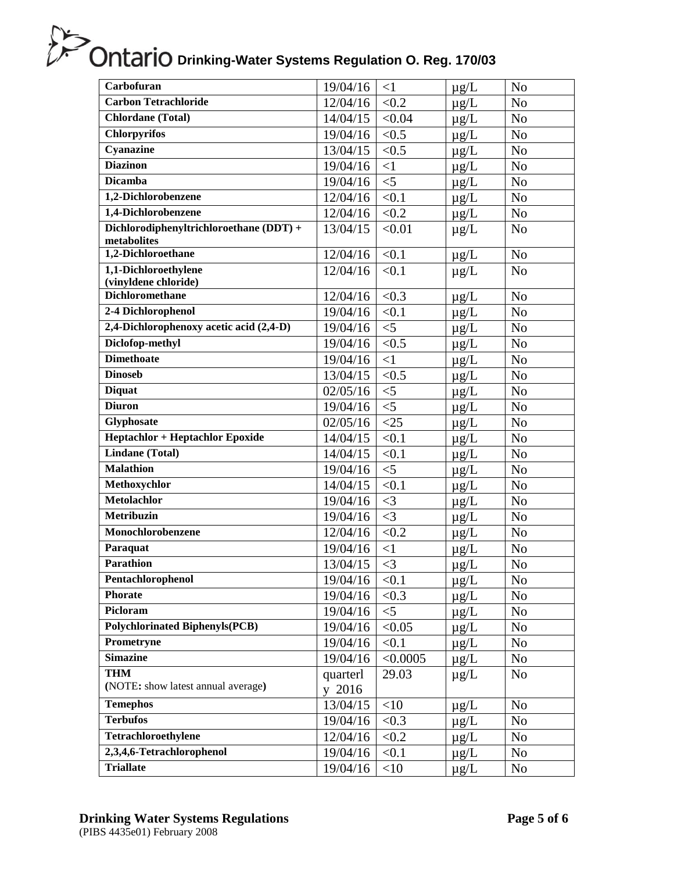| Carbofuran                                 | 19/04/16 | <1       | $\mu$ g/L | N <sub>o</sub> |
|--------------------------------------------|----------|----------|-----------|----------------|
| <b>Carbon Tetrachloride</b>                | 12/04/16 | < 0.2    | $\mu$ g/L | N <sub>o</sub> |
| Chlordane (Total)                          | 14/04/15 | < 0.04   | $\mu g/L$ | N <sub>o</sub> |
| <b>Chlorpyrifos</b>                        | 19/04/16 | < 0.5    | $\mu$ g/L | N <sub>o</sub> |
| Cyanazine                                  | 13/04/15 | < 0.5    | $\mu$ g/L | N <sub>o</sub> |
| <b>Diazinon</b>                            | 19/04/16 | $<$ 1    | $\mu$ g/L | N <sub>o</sub> |
| <b>Dicamba</b>                             | 19/04/16 | $<$ 5    | $\mu$ g/L | N <sub>o</sub> |
| 1,2-Dichlorobenzene                        | 12/04/16 | < 0.1    | $\mu$ g/L | N <sub>o</sub> |
| 1,4-Dichlorobenzene                        | 12/04/16 | < 0.2    | $\mu$ g/L | N <sub>o</sub> |
| Dichlorodiphenyltrichloroethane (DDT) +    | 13/04/15 | < 0.01   | $\mu$ g/L | N <sub>o</sub> |
| metabolites                                |          |          |           |                |
| 1,2-Dichloroethane<br>1,1-Dichloroethylene | 12/04/16 | < 0.1    | $\mu$ g/L | N <sub>o</sub> |
| (vinyldene chloride)                       | 12/04/16 | < 0.1    | $\mu$ g/L | N <sub>o</sub> |
| <b>Dichloromethane</b>                     | 12/04/16 | < 0.3    | $\mu$ g/L | N <sub>o</sub> |
| 2-4 Dichlorophenol                         | 19/04/16 | < 0.1    | $\mu$ g/L | N <sub>o</sub> |
| 2,4-Dichlorophenoxy acetic acid (2,4-D)    | 19/04/16 | $<$ 5    | $\mu g/L$ | No             |
| Diclofop-methyl                            | 19/04/16 | < 0.5    | $\mu$ g/L | N <sub>o</sub> |
| <b>Dimethoate</b>                          | 19/04/16 | $\leq$ 1 | $\mu$ g/L | N <sub>o</sub> |
| <b>Dinoseb</b>                             | 13/04/15 | < 0.5    | $\mu g/L$ | N <sub>o</sub> |
| <b>Diquat</b>                              | 02/05/16 | $<$ 5    | $\mu$ g/L | N <sub>o</sub> |
| <b>Diuron</b>                              | 19/04/16 | $<$ 5    | $\mu$ g/L | N <sub>o</sub> |
| Glyphosate                                 | 02/05/16 | $<$ 25   | $\mu$ g/L | N <sub>o</sub> |
| <b>Heptachlor + Heptachlor Epoxide</b>     | 14/04/15 | < 0.1    | $\mu$ g/L | No             |
| <b>Lindane</b> (Total)                     | 14/04/15 | < 0.1    | $\mu$ g/L | N <sub>o</sub> |
| <b>Malathion</b>                           | 19/04/16 | $<$ 5    | $\mu$ g/L | N <sub>o</sub> |
| Methoxychlor                               | 14/04/15 | < 0.1    | $\mu$ g/L | N <sub>o</sub> |
| <b>Metolachlor</b>                         | 19/04/16 | $\leq$ 3 | $\mu g/L$ | N <sub>o</sub> |
| Metribuzin                                 | 19/04/16 | $\leq$ 3 | $\mu$ g/L | N <sub>o</sub> |
| Monochlorobenzene                          | 12/04/16 | < 0.2    | $\mu g/L$ | No             |
| Paraquat                                   | 19/04/16 | $<$ 1    | $\mu$ g/L | N <sub>o</sub> |
| <b>Parathion</b>                           | 13/04/15 | $\leq$ 3 | $\mu$ g/L | N <sub>o</sub> |
| Pentachlorophenol                          | 19/04/16 | < 0.1    | $\mu g/L$ | N <sub>0</sub> |
| Phorate                                    | 19/04/16 | < 0.3    | $\mu$ g/L | N <sub>o</sub> |
| Picloram                                   | 19/04/16 | $<$ 5    | $\mu$ g/L | N <sub>o</sub> |
| <b>Polychlorinated Biphenyls(PCB)</b>      | 19/04/16 | < 0.05   | $\mu$ g/L | No             |
| Prometryne                                 | 19/04/16 | < 0.1    | $\mu$ g/L | N <sub>o</sub> |
| <b>Simazine</b>                            | 19/04/16 | < 0.0005 | $\mu$ g/L | N <sub>o</sub> |
| <b>THM</b>                                 | quarterl | 29.03    | $\mu$ g/L | N <sub>o</sub> |
| (NOTE: show latest annual average)         | y 2016   |          |           |                |
| <b>Temephos</b>                            | 13/04/15 | <10      | $\mu$ g/L | N <sub>o</sub> |
| <b>Terbufos</b>                            | 19/04/16 | < 0.3    | $\mu$ g/L | N <sub>o</sub> |
| Tetrachloroethylene                        | 12/04/16 | < 0.2    | $\mu$ g/L | N <sub>o</sub> |
| 2,3,4,6-Tetrachlorophenol                  | 19/04/16 | < 0.1    | $\mu$ g/L | No             |
| <b>Triallate</b>                           | 19/04/16 | $<$ 10   | $\mu$ g/L | No             |